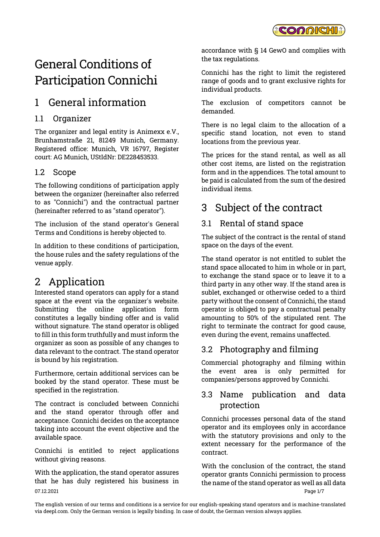

# General Conditions of Participation Connichi

## 1 General information

#### 1.1 Organizer

The organizer and legal entity is Animexx e.V., Brunhamstraße 21, 81249 Munich, Germany. Registered office: Munich, VR 16797, Register court: AG Munich, UStIdNr: DE228453533.

#### 1.2 Scope

The following conditions of participation apply between the organizer (hereinafter also referred to as "Connichi") and the contractual partner (hereinafter referred to as "stand operator").

The inclusion of the stand operator's General Terms and Conditions is hereby objected to.

In addition to these conditions of participation, the house rules and the safety regulations of the venue apply.

### 2 Application

Interested stand operators can apply for a stand space at the event via the organizer's website. Submitting the online application form constitutes a legally binding offer and is valid without signature. The stand operator is obliged to fill in this form truthfully and must inform the organizer as soon as possible of any changes to data relevant to the contract. The stand operator is bound by his registration.

Furthermore, certain additional services can be booked by the stand operator. These must be specified in the registration.

The contract is concluded between Connichi and the stand operator through offer and acceptance. Connichi decides on the acceptance taking into account the event objective and the available space.

Connichi is entitled to reject applications without giving reasons.

07.12.2021 Page 1/7 With the application, the stand operator assures that he has duly registered his business in

accordance with § 14 GewO and complies with the tax regulations.

Connichi has the right to limit the registered range of goods and to grant exclusive rights for individual products.

The exclusion of competitors cannot be demanded.

There is no legal claim to the allocation of a specific stand location, not even to stand locations from the previous year.

The prices for the stand rental, as well as all other cost items, are listed on the registration form and in the appendices. The total amount to be paid is calculated from the sum of the desired individual items.

## 3 Subject of the contract

#### 3.1 Rental of stand space

The subject of the contract is the rental of stand space on the days of the event.

The stand operator is not entitled to sublet the stand space allocated to him in whole or in part, to exchange the stand space or to leave it to a third party in any other way. If the stand area is sublet, exchanged or otherwise ceded to a third party without the consent of Connichi, the stand operator is obliged to pay a contractual penalty amounting to 50% of the stipulated rent. The right to terminate the contract for good cause, even during the event, remains unaffected.

#### 3.2 Photography and filming

Commercial photography and filming within the event area is only permitted for companies/persons approved by Connichi.

#### 3.3 Name publication and data protection

Connichi processes personal data of the stand operator and its employees only in accordance with the statutory provisions and only to the extent necessary for the performance of the contract.

With the conclusion of the contract, the stand operator grants Connichi permission to process the name of the stand operator as well as all data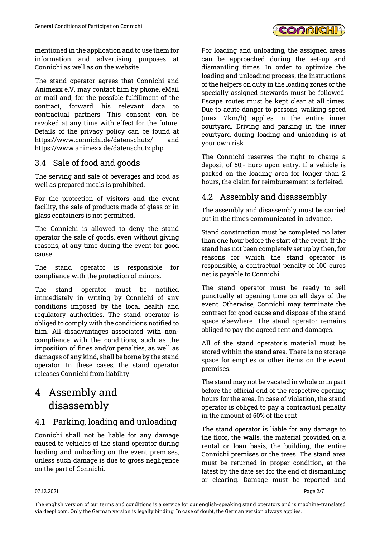

mentioned in the application and to use them for information and advertising purposes at Connichi as well as on the website.

The stand operator agrees that Connichi and Animexx e.V. may contact him by phone, eMail or mail and, for the possible fulfillment of the contract, forward his relevant data to contractual partners. This consent can be revoked at any time with effect for the future. Details of the privacy policy can be found at https://www.connichi.de/datenschutz/ and https://www.animexx.de/datenschutz.php.

#### 3.4 Sale of food and goods

The serving and sale of beverages and food as well as prepared meals is prohibited.

For the protection of visitors and the event facility, the sale of products made of glass or in glass containers is not permitted.

The Connichi is allowed to deny the stand operator the sale of goods, even without giving reasons, at any time during the event for good cause.

The stand operator is responsible for compliance with the protection of minors.

The stand operator must be notified immediately in writing by Connichi of any conditions imposed by the local health and regulatory authorities. The stand operator is obliged to comply with the conditions notified to him. All disadvantages associated with noncompliance with the conditions, such as the imposition of fines and/or penalties, as well as damages of any kind, shall be borne by the stand operator. In these cases, the stand operator releases Connichi from liability.

## 4 Assembly and disassembly

#### 4.1 Parking, loading and unloading

Connichi shall not be liable for any damage caused to vehicles of the stand operator during loading and unloading on the event premises, unless such damage is due to gross negligence on the part of Connichi.

For loading and unloading, the assigned areas can be approached during the set-up and dismantling times. In order to optimize the loading and unloading process, the instructions of the helpers on duty in the loading zones or the specially assigned stewards must be followed. Escape routes must be kept clear at all times. Due to acute danger to persons, walking speed (max. 7km/h) applies in the entire inner courtyard. Driving and parking in the inner courtyard during loading and unloading is at your own risk.

The Connichi reserves the right to charge a deposit of 50,- Euro upon entry. If a vehicle is parked on the loading area for longer than 2 hours, the claim for reimbursement is forfeited.

#### 4.2 Assembly and disassembly

The assembly and disassembly must be carried out in the times communicated in advance.

Stand construction must be completed no later than one hour before the start of the event. If the stand has not been completely set up by then, for reasons for which the stand operator is responsible, a contractual penalty of 100 euros net is payable to Connichi.

The stand operator must be ready to sell punctually at opening time on all days of the event. Otherwise, Connichi may terminate the contract for good cause and dispose of the stand space elsewhere. The stand operator remains obliged to pay the agreed rent and damages.

All of the stand operator's material must be stored within the stand area. There is no storage space for empties or other items on the event premises.

The stand may not be vacated in whole or in part before the official end of the respective opening hours for the area. In case of violation, the stand operator is obliged to pay a contractual penalty in the amount of 50% of the rent.

The stand operator is liable for any damage to the floor, the walls, the material provided on a rental or loan basis, the building, the entire Connichi premises or the trees. The stand area must be returned in proper condition, at the latest by the date set for the end of dismantling or clearing. Damage must be reported and

#### 07.12.2021 Page 2/7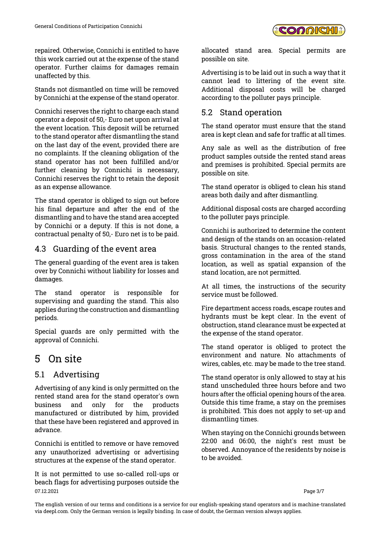repaired. Otherwise, Connichi is entitled to have this work carried out at the expense of the stand operator. Further claims for damages remain unaffected by this.

Stands not dismantled on time will be removed by Connichi at the expense of the stand operator.

Connichi reserves the right to charge each stand operator a deposit of 50,- Euro net upon arrival at the event location. This deposit will be returned to the stand operator after dismantling the stand on the last day of the event, provided there are no complaints. If the cleaning obligation of the stand operator has not been fulfilled and/or further cleaning by Connichi is necessary, Connichi reserves the right to retain the deposit as an expense allowance.

The stand operator is obliged to sign out before his final departure and after the end of the dismantling and to have the stand area accepted by Connichi or a deputy. If this is not done, a contractual penalty of 50,- Euro net is to be paid.

#### 4.3 Guarding of the event area

The general guarding of the event area is taken over by Connichi without liability for losses and damages.

The stand operator is responsible for supervising and guarding the stand. This also applies during the construction and dismantling periods.

Special guards are only permitted with the approval of Connichi.

### 5 On site

#### 5.1 Advertising

Advertising of any kind is only permitted on the rented stand area for the stand operator's own business and only for the products manufactured or distributed by him, provided that these have been registered and approved in advance.

Connichi is entitled to remove or have removed any unauthorized advertising or advertising structures at the expense of the stand operator.

07.12.2021 Page 3/7 It is not permitted to use so-called roll-ups or beach flags for advertising purposes outside the

allocated stand area. Special permits are possible on site.

Advertising is to be laid out in such a way that it cannot lead to littering of the event site. Additional disposal costs will be charged according to the polluter pays principle.

#### 5.2 Stand operation

The stand operator must ensure that the stand area is kept clean and safe for traffic at all times.

Any sale as well as the distribution of free product samples outside the rented stand areas and premises is prohibited. Special permits are possible on site.

The stand operator is obliged to clean his stand areas both daily and after dismantling.

Additional disposal costs are charged according to the polluter pays principle.

Connichi is authorized to determine the content and design of the stands on an occasion-related basis. Structural changes to the rented stands, gross contamination in the area of the stand location, as well as spatial expansion of the stand location, are not permitted.

At all times, the instructions of the security service must be followed.

Fire department access roads, escape routes and hydrants must be kept clear. In the event of obstruction, stand clearance must be expected at the expense of the stand operator.

The stand operator is obliged to protect the environment and nature. No attachments of wires, cables, etc. may be made to the tree stand.

The stand operator is only allowed to stay at his stand unscheduled three hours before and two hours after the official opening hours of the area. Outside this time frame, a stay on the premises is prohibited. This does not apply to set-up and dismantling times.

When staying on the Connichi grounds between 22:00 and 06:00, the night's rest must be observed. Annoyance of the residents by noise is to be avoided.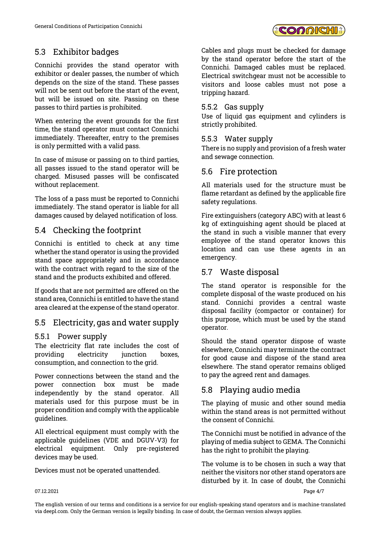

#### 5.3 Exhibitor badges

Connichi provides the stand operator with exhibitor or dealer passes, the number of which depends on the size of the stand. These passes will not be sent out before the start of the event, but will be issued on site. Passing on these passes to third parties is prohibited.

When entering the event grounds for the first time, the stand operator must contact Connichi immediately. Thereafter, entry to the premises is only permitted with a valid pass.

In case of misuse or passing on to third parties, all passes issued to the stand operator will be charged. Misused passes will be confiscated without replacement.

The loss of a pass must be reported to Connichi immediately. The stand operator is liable for all damages caused by delayed notification of loss.

### 5.4 Checking the footprint

Connichi is entitled to check at any time whether the stand operator is using the provided stand space appropriately and in accordance with the contract with regard to the size of the stand and the products exhibited and offered.

If goods that are not permitted are offered on the stand area, Connichi is entitled to have the stand area cleared at the expense of the stand operator.

#### 5.5 Electricity, gas and water supply

#### 5.5.1 Power supply

The electricity flat rate includes the cost of providing electricity junction boxes, consumption, and connection to the grid.

Power connections between the stand and the power connection box must be made independently by the stand operator. All materials used for this purpose must be in proper condition and comply with the applicable guidelines.

All electrical equipment must comply with the applicable guidelines (VDE and DGUV-V3) for electrical equipment. Only pre-registered devices may be used.

Devices must not be operated unattended.

Cables and plugs must be checked for damage by the stand operator before the start of the Connichi. Damaged cables must be replaced. Electrical switchgear must not be accessible to visitors and loose cables must not pose a tripping hazard.

#### 5.5.2 Gas supply

Use of liquid gas equipment and cylinders is strictly prohibited.

#### 5.5.3 Water supply

There is no supply and provision of a fresh water and sewage connection.

#### 5.6 Fire protection

All materials used for the structure must be flame retardant as defined by the applicable fire safety regulations.

Fire extinguishers (category ABC) with at least 6 kg of extinguishing agent should be placed at the stand in such a visible manner that every employee of the stand operator knows this location and can use these agents in an emergency.

#### 5.7 Waste disposal

The stand operator is responsible for the complete disposal of the waste produced on his stand. Connichi provides a central waste disposal facility (compactor or container) for this purpose, which must be used by the stand operator.

Should the stand operator dispose of waste elsewhere, Connichi may terminate the contract for good cause and dispose of the stand area elsewhere. The stand operator remains obliged to pay the agreed rent and damages.

#### 5.8 Playing audio media

The playing of music and other sound media within the stand areas is not permitted without the consent of Connichi.

The Connichi must be notified in advance of the playing of media subject to GEMA. The Connichi has the right to prohibit the playing.

The volume is to be chosen in such a way that neither the visitors nor other stand operators are disturbed by it. In case of doubt, the Connichi

#### $07.12.2021$  Page 4/7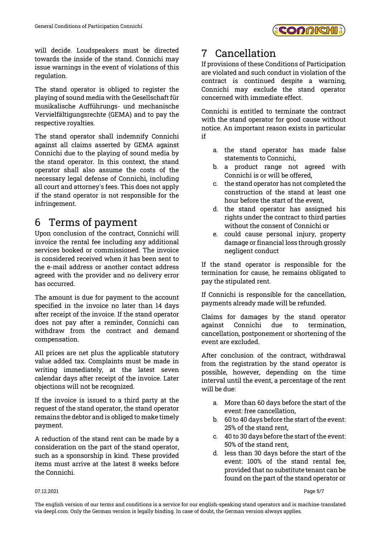

will decide. Loudspeakers must be directed towards the inside of the stand. Connichi may issue warnings in the event of violations of this regulation.

The stand operator is obliged to register the playing of sound media with the Gesellschaft für musikalische Aufführungs- und mechanische Vervielfältigungsrechte (GEMA) and to pay the respective royalties.

The stand operator shall indemnify Connichi against all claims asserted by GEMA against Connichi due to the playing of sound media by the stand operator. In this context, the stand operator shall also assume the costs of the necessary legal defense of Connichi, including all court and attorney's fees. This does not apply if the stand operator is not responsible for the infringement.

### 6 Terms of payment

Upon conclusion of the contract, Connichi will invoice the rental fee including any additional services booked or commissioned. The invoice is considered received when it has been sent to the e-mail address or another contact address agreed with the provider and no delivery error has occurred.

The amount is due for payment to the account specified in the invoice no later than 14 days after receipt of the invoice. If the stand operator does not pay after a reminder, Connichi can withdraw from the contract and demand compensation.

All prices are net plus the applicable statutory value added tax. Complaints must be made in writing immediately, at the latest seven calendar days after receipt of the invoice. Later objections will not be recognized.

If the invoice is issued to a third party at the request of the stand operator, the stand operator remains the debtor and is obliged to make timely payment.

A reduction of the stand rent can be made by a consideration on the part of the stand operator, such as a sponsorship in kind. These provided items must arrive at the latest 8 weeks before the Connichi.

## 7 Cancellation

If provisions of these Conditions of Participation are violated and such conduct in violation of the contract is continued despite a warning, Connichi may exclude the stand operator concerned with immediate effect.

Connichi is entitled to terminate the contract with the stand operator for good cause without notice. An important reason exists in particular if

- a. the stand operator has made false statements to Connichi,
- b. a product range not agreed with Connichi is or will be offered,
- c. the stand operator has not completed the construction of the stand at least one hour before the start of the event,
- d. the stand operator has assigned his rights under the contract to third parties without the consent of Connichi or
- e. could cause personal injury, property damage or financial loss through grossly negligent conduct

If the stand operator is responsible for the termination for cause, he remains obligated to pay the stipulated rent.

If Connichi is responsible for the cancellation, payments already made will be refunded.

Claims for damages by the stand operator against Connichi due to termination, cancellation, postponement or shortening of the event are excluded.

After conclusion of the contract, withdrawal from the registration by the stand operator is possible, however, depending on the time interval until the event, a percentage of the rent will be due:

- a. More than 60 days before the start of the event: free cancellation,
- b. 60 to 40 days before the start of the event: 25% of the stand rent,
- c. 40 to 30 days before the start of the event: 50% of the stand rent,
- d. less than 30 days before the start of the event: 100% of the stand rental fee, provided that no substitute tenant can be found on the part of the stand operator or

#### 07.12.2021 Page 5/7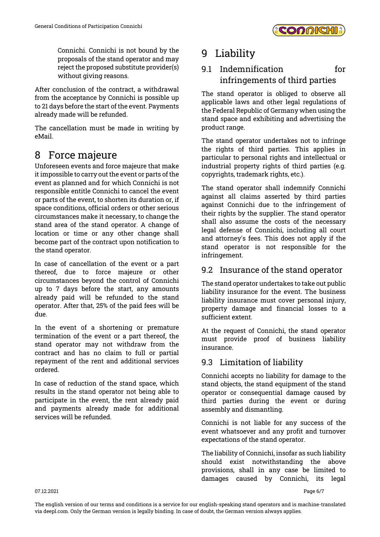

Connichi. Connichi is not bound by the proposals of the stand operator and may reject the proposed substitute provider(s) without giving reasons.

After conclusion of the contract, a withdrawal from the acceptance by Connichi is possible up to 21 days before the start of the event. Payments already made will be refunded.

The cancellation must be made in writing by eMail.

### 8 Force majeure

Unforeseen events and force majeure that make it impossible to carry out the event or parts of the event as planned and for which Connichi is not responsible entitle Connichi to cancel the event or parts of the event, to shorten its duration or, if space conditions, official orders or other serious circumstances make it necessary, to change the stand area of the stand operator. A change of location or time or any other change shall become part of the contract upon notification to the stand operator.

In case of cancellation of the event or a part thereof, due to force majeure or other circumstances beyond the control of Connichi up to 7 days before the start, any amounts already paid will be refunded to the stand operator. After that, 25% of the paid fees will be due.

In the event of a shortening or premature termination of the event or a part thereof, the stand operator may not withdraw from the contract and has no claim to full or partial repayment of the rent and additional services ordered.

In case of reduction of the stand space, which results in the stand operator not being able to participate in the event, the rent already paid and payments already made for additional services will be refunded.

### 9 Liability

### 9.1 Indemnification for infringements of third parties

The stand operator is obliged to observe all applicable laws and other legal regulations of the Federal Republic of Germany when using the stand space and exhibiting and advertising the product range.

The stand operator undertakes not to infringe the rights of third parties. This applies in particular to personal rights and intellectual or industrial property rights of third parties (e.g. copyrights, trademark rights, etc.).

The stand operator shall indemnify Connichi against all claims asserted by third parties against Connichi due to the infringement of their rights by the supplier. The stand operator shall also assume the costs of the necessary legal defense of Connichi, including all court and attorney's fees. This does not apply if the stand operator is not responsible for the infringement.

#### 9.2 Insurance of the stand operator

The stand operator undertakes to take out public liability insurance for the event. The business liability insurance must cover personal injury, property damage and financial losses to a sufficient extent.

At the request of Connichi, the stand operator must provide proof of business liability insurance.

#### 9.3 Limitation of liability

Connichi accepts no liability for damage to the stand objects, the stand equipment of the stand operator or consequential damage caused by third parties during the event or during assembly and dismantling.

Connichi is not liable for any success of the event whatsoever and any profit and turnover expectations of the stand operator.

The liability of Connichi, insofar as such liability should exist notwithstanding the above provisions, shall in any case be limited to damages caused by Connichi, its legal

07.12.2021 Page 6/7